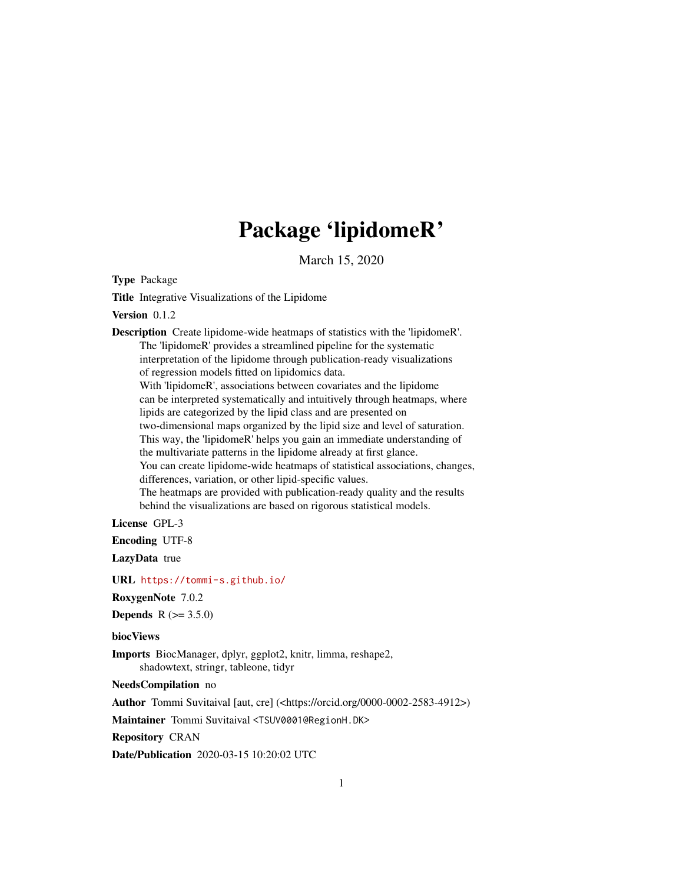## Package 'lipidomeR'

March 15, 2020

<span id="page-0-0"></span>Type Package

Title Integrative Visualizations of the Lipidome

Version 0.1.2

Description Create lipidome-wide heatmaps of statistics with the 'lipidomeR'. The 'lipidomeR' provides a streamlined pipeline for the systematic interpretation of the lipidome through publication-ready visualizations of regression models fitted on lipidomics data. With 'lipidomeR', associations between covariates and the lipidome can be interpreted systematically and intuitively through heatmaps, where lipids are categorized by the lipid class and are presented on two-dimensional maps organized by the lipid size and level of saturation. This way, the 'lipidomeR' helps you gain an immediate understanding of the multivariate patterns in the lipidome already at first glance. You can create lipidome-wide heatmaps of statistical associations, changes, differences, variation, or other lipid-specific values. The heatmaps are provided with publication-ready quality and the results behind the visualizations are based on rigorous statistical models.

License GPL-3

Encoding UTF-8

LazyData true

URL <https://tommi-s.github.io/>

RoxygenNote 7.0.2

**Depends** R  $(>= 3.5.0)$ 

biocViews

Imports BiocManager, dplyr, ggplot2, knitr, limma, reshape2, shadowtext, stringr, tableone, tidyr

NeedsCompilation no

Author Tommi Suvitaival [aut, cre] (<https://orcid.org/0000-0002-2583-4912>)

Maintainer Tommi Suvitaival <TSUV0001@RegionH.DK>

Repository CRAN

Date/Publication 2020-03-15 10:20:02 UTC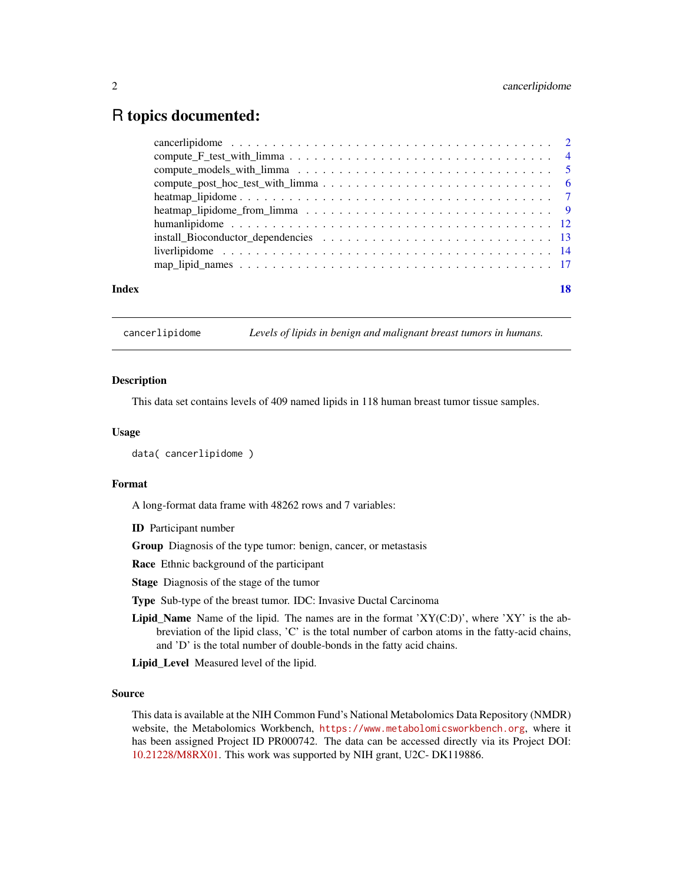### <span id="page-1-0"></span>R topics documented:

| Index |  |
|-------|--|

cancerlipidome *Levels of lipids in benign and malignant breast tumors in humans.*

### Description

This data set contains levels of 409 named lipids in 118 human breast tumor tissue samples.

### Usage

```
data( cancerlipidome )
```
### Format

A long-format data frame with 48262 rows and 7 variables:

ID Participant number

Group Diagnosis of the type tumor: benign, cancer, or metastasis

Race Ethnic background of the participant

Stage Diagnosis of the stage of the tumor

Type Sub-type of the breast tumor. IDC: Invasive Ductal Carcinoma

Lipid\_Name Name of the lipid. The names are in the format 'XY(C:D)', where 'XY' is the abbreviation of the lipid class, 'C' is the total number of carbon atoms in the fatty-acid chains, and 'D' is the total number of double-bonds in the fatty acid chains.

Lipid\_Level Measured level of the lipid.

### Source

This data is available at the NIH Common Fund's National Metabolomics Data Repository (NMDR) website, the Metabolomics Workbench, <https://www.metabolomicsworkbench.org>, where it has been assigned Project ID PR000742. The data can be accessed directly via its Project DOI: [10.21228/M8RX01.](http://dx.doi.org/10.21228/M8RX01) This work was supported by NIH grant, U2C- DK119886.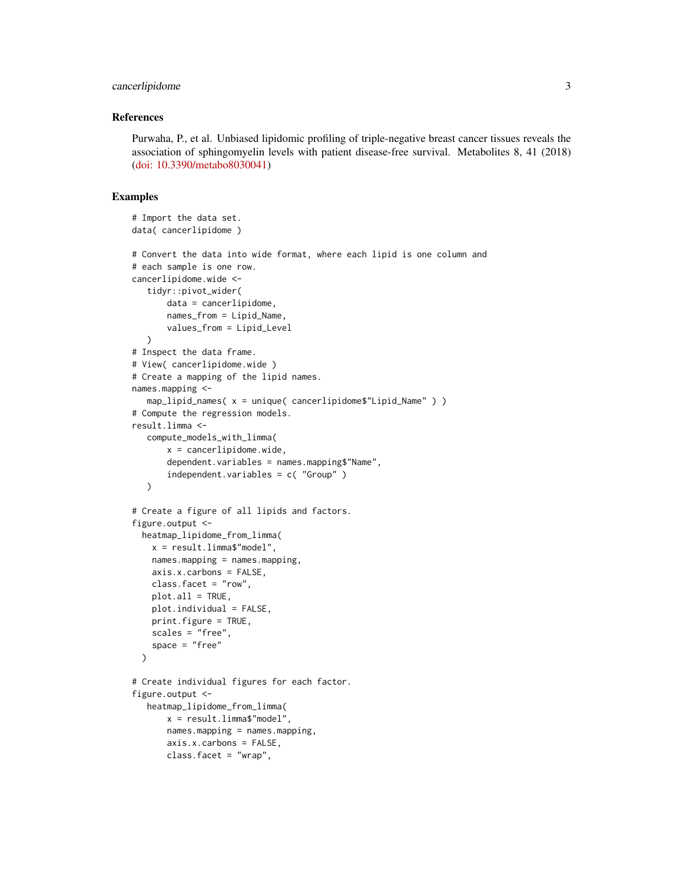### cancerlipidome 3

### References

Purwaha, P., et al. Unbiased lipidomic profiling of triple-negative breast cancer tissues reveals the association of sphingomyelin levels with patient disease-free survival. Metabolites 8, 41 (2018) [\(doi: 10.3390/metabo8030041\)](https://doi.org/10.3390/metabo8030041)

### Examples

```
# Import the data set.
data( cancerlipidome )
# Convert the data into wide format, where each lipid is one column and
# each sample is one row.
cancerlipidome.wide <-
   tidyr::pivot_wider(
       data = cancerlipidome,
       names_from = Lipid_Name,
       values_from = Lipid_Level
   \lambda# Inspect the data frame.
# View( cancerlipidome.wide )
# Create a mapping of the lipid names.
names.mapping <-
   map_lipid_names( x = unique( cancerlipidome$"Lipid_Name" ) )
# Compute the regression models.
result.limma <-
   compute_models_with_limma(
       x = \text{cancerlipidome.wide},
       dependent.variables = names.mapping$"Name",
       independent.variables = c( "Group" )
   \lambda# Create a figure of all lipids and factors.
figure.output <-
  heatmap_lipidome_from_limma(
    x = result.limma$"model",
    names.mapping = names.mapping,
    axis.x.carbons = FALSE,
    class.facet = "row",
    plot.all = TRUE,
    plot.individual = FALSE,
    print.figure = TRUE,
    scales = "free",
    space = "free"
  \lambda# Create individual figures for each factor.
figure.output <-
   heatmap_lipidome_from_limma(
       x = result.limma$"model",
       names.mapping = names.mapping,
       axis.x.carbons = FALSE,
       class.facet = "wrap",
```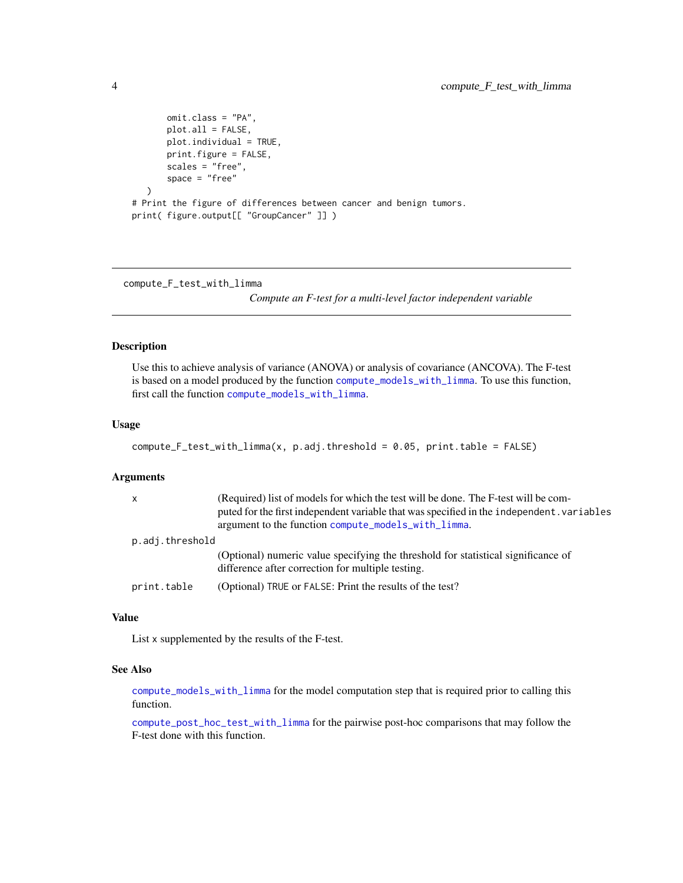```
omit.class = "PA",
      plot.all = FALSE,
      plot.individual = TRUE,
      print.figure = FALSE,
      scales = "free",
      space = "free")
# Print the figure of differences between cancer and benign tumors.
print( figure.output[[ "GroupCancer" ]] )
```
<span id="page-3-1"></span>compute\_F\_test\_with\_limma

*Compute an F-test for a multi-level factor independent variable*

### Description

Use this to achieve analysis of variance (ANOVA) or analysis of covariance (ANCOVA). The F-test is based on a model produced by the function [compute\\_models\\_with\\_limma](#page-4-1). To use this function, first call the function [compute\\_models\\_with\\_limma](#page-4-1).

### Usage

```
compute_F_test_with_limma(x, p.adj.threshold = 0.05, print.table = FALSE)
```
### Arguments

| $\mathsf{x}$    | (Required) list of models for which the test will be done. The F-test will be com-<br>puted for the first independent variable that was specified in the independent, variables<br>argument to the function compute_models_with_limma. |
|-----------------|----------------------------------------------------------------------------------------------------------------------------------------------------------------------------------------------------------------------------------------|
| p.adj.threshold |                                                                                                                                                                                                                                        |
|                 | (Optional) numeric value specifying the threshold for statistical significance of<br>difference after correction for multiple testing.                                                                                                 |
| print.table     | (Optional) TRUE or FALSE: Print the results of the test?                                                                                                                                                                               |

### Value

List x supplemented by the results of the F-test.

### See Also

[compute\\_models\\_with\\_limma](#page-4-1) for the model computation step that is required prior to calling this function.

[compute\\_post\\_hoc\\_test\\_with\\_limma](#page-5-1) for the pairwise post-hoc comparisons that may follow the F-test done with this function.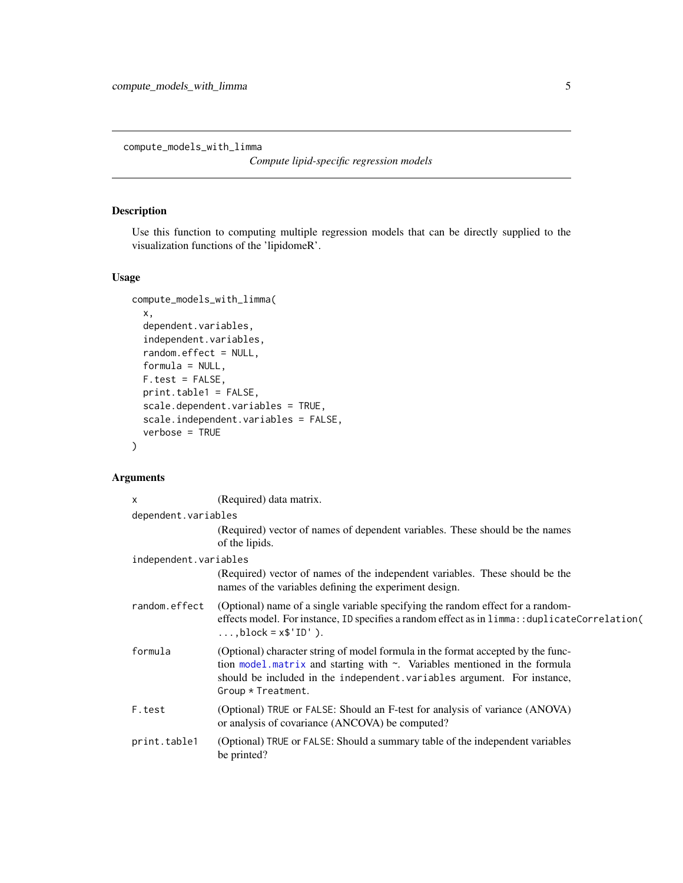<span id="page-4-1"></span><span id="page-4-0"></span>compute\_models\_with\_limma

*Compute lipid-specific regression models*

### Description

Use this function to computing multiple regression models that can be directly supplied to the visualization functions of the 'lipidomeR'.

### Usage

```
compute_models_with_limma(
 x,
  dependent.variables,
  independent.variables,
  random.effect = NULL,
 formula = NULL,
 F.test = FALSE,
 print.table1 = FALSE,
  scale.dependent.variables = TRUE,
 scale.independent.variables = FALSE,
 verbose = TRUE
)
```
### Arguments

| $\times$              | (Required) data matrix.                                                                                                                                                                                                                                               |
|-----------------------|-----------------------------------------------------------------------------------------------------------------------------------------------------------------------------------------------------------------------------------------------------------------------|
| dependent.variables   |                                                                                                                                                                                                                                                                       |
|                       | (Required) vector of names of dependent variables. These should be the names<br>of the lipids.                                                                                                                                                                        |
| independent.variables |                                                                                                                                                                                                                                                                       |
|                       | (Required) vector of names of the independent variables. These should be the<br>names of the variables defining the experiment design.                                                                                                                                |
| random.effect         | (Optional) name of a single variable specifying the random effect for a random-<br>effects model. For instance, ID specifies a random effect as in $limmax$ : : duplicateCorrelation(<br>$\ldots$ , block = $x$ \$'ID').                                              |
| formula               | (Optional) character string of model formula in the format accepted by the func-<br>tion model matrix and starting with $\sim$ . Variables mentioned in the formula<br>should be included in the independent. variables argument. For instance,<br>Group * Treatment. |
| F.test                | (Optional) TRUE or FALSE: Should an F-test for analysis of variance (ANOVA)<br>or analysis of covariance (ANCOVA) be computed?                                                                                                                                        |
| print.table1          | (Optional) TRUE or FALSE: Should a summary table of the independent variables<br>be printed?                                                                                                                                                                          |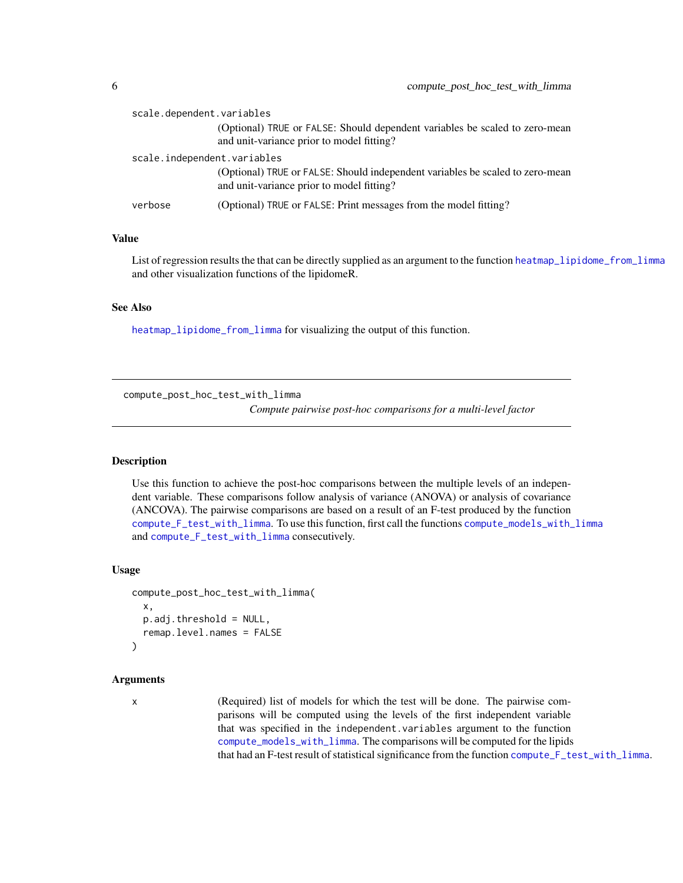<span id="page-5-0"></span>

| scale.dependent.variables   |                                                                                                                            |
|-----------------------------|----------------------------------------------------------------------------------------------------------------------------|
|                             | (Optional) TRUE or FALSE: Should dependent variables be scaled to zero-mean<br>and unit-variance prior to model fitting?   |
| scale.independent.variables |                                                                                                                            |
|                             | (Optional) TRUE or FALSE: Should independent variables be scaled to zero-mean<br>and unit-variance prior to model fitting? |
| verbose                     | (Optional) TRUE or FALSE: Print messages from the model fitting?                                                           |

### Value

List of regression results the that can be directly supplied as an argument to the function [heatmap\\_lipidome\\_from\\_limma](#page-8-1) and other visualization functions of the lipidomeR.

### See Also

[heatmap\\_lipidome\\_from\\_limma](#page-8-1) for visualizing the output of this function.

<span id="page-5-1"></span>compute\_post\_hoc\_test\_with\_limma

*Compute pairwise post-hoc comparisons for a multi-level factor*

### **Description**

Use this function to achieve the post-hoc comparisons between the multiple levels of an independent variable. These comparisons follow analysis of variance (ANOVA) or analysis of covariance (ANCOVA). The pairwise comparisons are based on a result of an F-test produced by the function [compute\\_F\\_test\\_with\\_limma](#page-3-1). To use this function, first call the functions [compute\\_models\\_with\\_limma](#page-4-1) and [compute\\_F\\_test\\_with\\_limma](#page-3-1) consecutively.

### Usage

```
compute_post_hoc_test_with_limma(
  x,
 p.adj.threshold = NULL,
  remap.level.names = FALSE
)
```
### Arguments

x (Required) list of models for which the test will be done. The pairwise comparisons will be computed using the levels of the first independent variable that was specified in the independent.variables argument to the function [compute\\_models\\_with\\_limma](#page-4-1). The comparisons will be computed for the lipids that had an F-test result of statistical significance from the function [compute\\_F\\_test\\_with\\_limma](#page-3-1).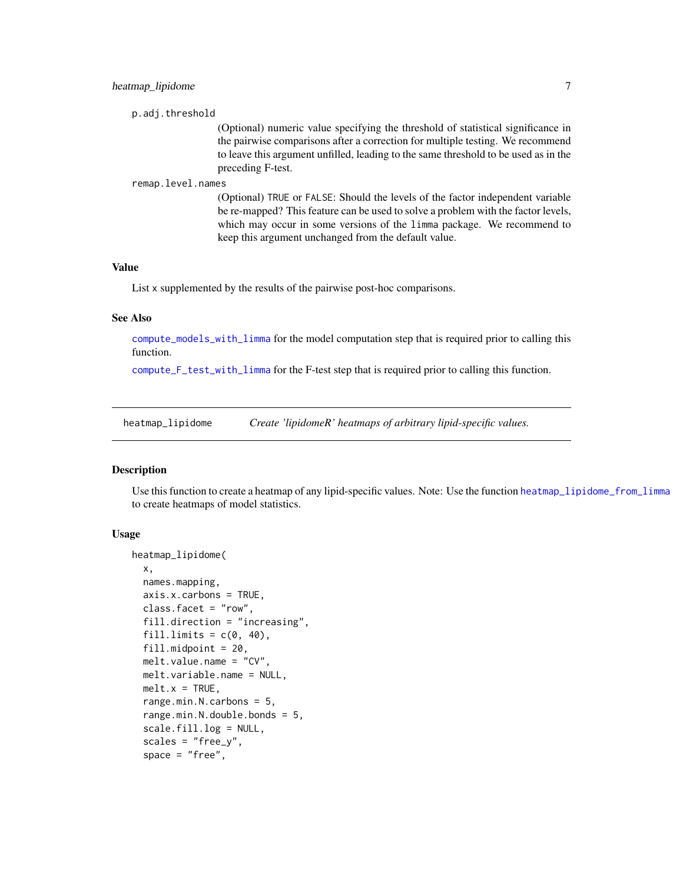```
p.adj.threshold
```
(Optional) numeric value specifying the threshold of statistical significance in the pairwise comparisons after a correction for multiple testing. We recommend to leave this argument unfilled, leading to the same threshold to be used as in the preceding F-test.

### remap.level.names

(Optional) TRUE or FALSE: Should the levels of the factor independent variable be re-mapped? This feature can be used to solve a problem with the factor levels, which may occur in some versions of the limma package. We recommend to keep this argument unchanged from the default value.

### Value

List x supplemented by the results of the pairwise post-hoc comparisons.

### See Also

[compute\\_models\\_with\\_limma](#page-4-1) for the model computation step that is required prior to calling this function.

[compute\\_F\\_test\\_with\\_limma](#page-3-1) for the F-test step that is required prior to calling this function.

<span id="page-6-1"></span>heatmap\_lipidome *Create 'lipidomeR' heatmaps of arbitrary lipid-specific values.*

### Description

Use this function to create a heatmap of any lipid-specific values. Note: Use the function [heatmap\\_lipidome\\_from\\_limma](#page-8-1) to create heatmaps of model statistics.

### Usage

```
heatmap_lipidome(
  x,
  names.mapping,
  axis.x.carbons = TRUE,class.facet = "row",
  fill.direction = "increasing",
  fill.limits = c(0, 40),
  fill.midpoint = 20,
  melt.value.name = "CV",
 melt.variable.name = NULL,
 melt.x = TRUE,range.min.N.carbons = 5,
  range.min.N.double.bonds = 5,
  scale.fill.log = NULL,
  scales = "free_y",space = "free",
```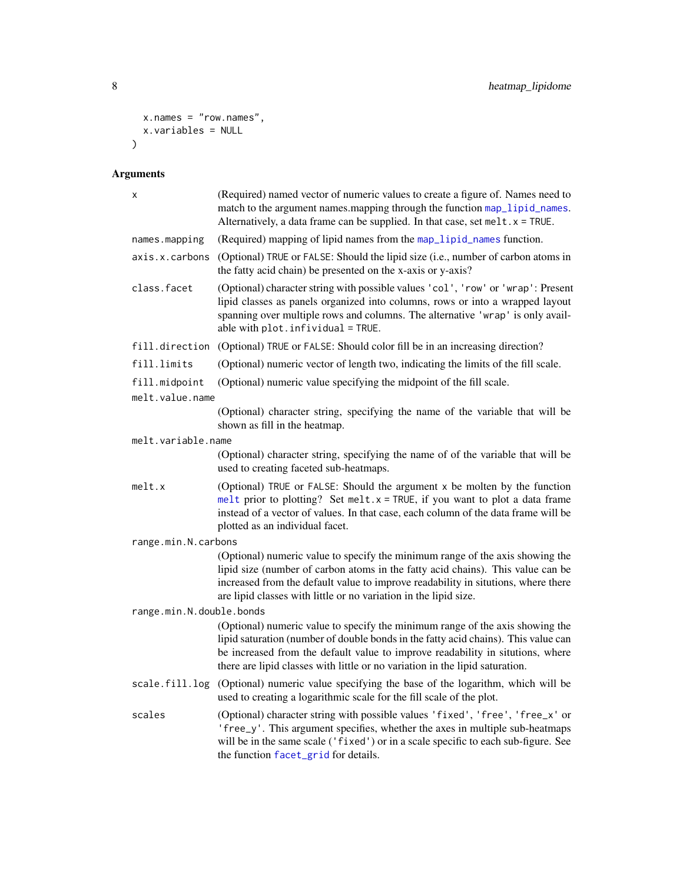```
x.names = "row.names",
x.variables = NULL
\overline{)}
```
## Arguments

| X                                | (Required) named vector of numeric values to create a figure of. Names need to<br>match to the argument names. mapping through the function map_lipid_names.<br>Alternatively, a data frame can be supplied. In that case, set melt. x = TRUE.                                                                                        |
|----------------------------------|---------------------------------------------------------------------------------------------------------------------------------------------------------------------------------------------------------------------------------------------------------------------------------------------------------------------------------------|
| names.mapping                    | (Required) mapping of lipid names from the map_lipid_names function.                                                                                                                                                                                                                                                                  |
| axis.x.carbons                   | (Optional) TRUE or FALSE: Should the lipid size (i.e., number of carbon atoms in<br>the fatty acid chain) be presented on the x-axis or y-axis?                                                                                                                                                                                       |
| class.facet                      | (Optional) character string with possible values 'col', 'row' or 'wrap': Present<br>lipid classes as panels organized into columns, rows or into a wrapped layout<br>spanning over multiple rows and columns. The alternative 'wrap' is only avail-<br>able with $plot.infividual = TRUE.$                                            |
| fill.direction                   | (Optional) TRUE or FALSE: Should color fill be in an increasing direction?                                                                                                                                                                                                                                                            |
| fill.limits                      | (Optional) numeric vector of length two, indicating the limits of the fill scale.                                                                                                                                                                                                                                                     |
| fill.midpoint<br>melt.value.name | (Optional) numeric value specifying the midpoint of the fill scale.                                                                                                                                                                                                                                                                   |
|                                  | (Optional) character string, specifying the name of the variable that will be<br>shown as fill in the heatmap.                                                                                                                                                                                                                        |
| melt.variable.name               |                                                                                                                                                                                                                                                                                                                                       |
|                                  | (Optional) character string, specifying the name of of the variable that will be<br>used to creating faceted sub-heatmaps.                                                                                                                                                                                                            |
| melt.x                           | (Optional) TRUE or FALSE: Should the argument x be molten by the function<br>melt prior to plotting? Set melt. $x = TRUE$ , if you want to plot a data frame<br>instead of a vector of values. In that case, each column of the data frame will be<br>plotted as an individual facet.                                                 |
| range.min.N.carbons              |                                                                                                                                                                                                                                                                                                                                       |
|                                  | (Optional) numeric value to specify the minimum range of the axis showing the<br>lipid size (number of carbon atoms in the fatty acid chains). This value can be<br>increased from the default value to improve readability in situtions, where there<br>are lipid classes with little or no variation in the lipid size.             |
| range.min.N.double.bonds         |                                                                                                                                                                                                                                                                                                                                       |
|                                  | (Optional) numeric value to specify the minimum range of the axis showing the<br>lipid saturation (number of double bonds in the fatty acid chains). This value can<br>be increased from the default value to improve readability in situtions, where<br>there are lipid classes with little or no variation in the lipid saturation. |
| scale.fill.log                   | (Optional) numeric value specifying the base of the logarithm, which will be<br>used to creating a logarithmic scale for the fill scale of the plot.                                                                                                                                                                                  |
| scales                           | (Optional) character string with possible values 'fixed', 'free', 'free_x' or<br>'free_y'. This argument specifies, whether the axes in multiple sub-heatmaps<br>will be in the same scale ('fixed') or in a scale specific to each sub-figure. See<br>the function facet_grid for details.                                           |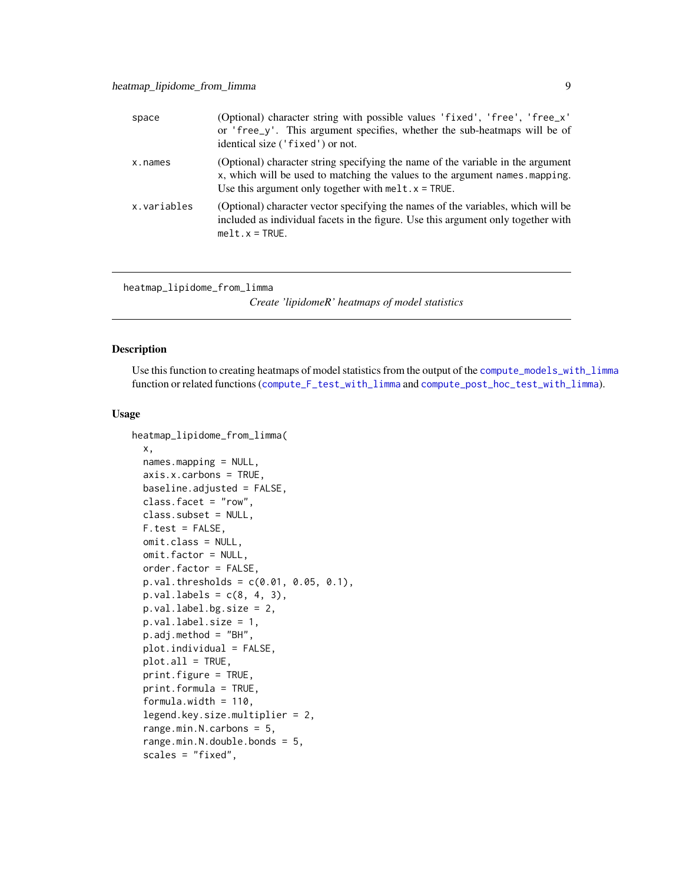<span id="page-8-0"></span>

| space       | (Optional) character string with possible values 'fixed', 'free', 'free_x'<br>or 'free_y'. This argument specifies, whether the sub-heatmaps will be of<br>identical size ('fixed') or not.                               |
|-------------|---------------------------------------------------------------------------------------------------------------------------------------------------------------------------------------------------------------------------|
| x.names     | (Optional) character string specifying the name of the variable in the argument<br>x, which will be used to matching the values to the argument names, mapping.<br>Use this argument only together with $melt.x = TRUE$ . |
| x.variables | (Optional) character vector specifying the names of the variables, which will be<br>included as individual facets in the figure. Use this argument only together with<br>$melt.x = TRUE.$                                 |

<span id="page-8-1"></span>heatmap\_lipidome\_from\_limma

*Create 'lipidomeR' heatmaps of model statistics*

### Description

Use this function to creating heatmaps of model statistics from the output of the [compute\\_models\\_with\\_limma](#page-4-1) function or related functions ([compute\\_F\\_test\\_with\\_limma](#page-3-1) and [compute\\_post\\_hoc\\_test\\_with\\_limma](#page-5-1)).

### Usage

```
heatmap_lipidome_from_limma(
  x,
  names.mapping = NULL,
  axis.x.carbons = TRUE,
 baseline.adjusted = FALSE,
  class.facet = "row",
  class.subset = NULL,
  F.test = FALSE,
  omit.class = NULL,
  omit.factor = NULL,
  order.factor = FALSE,
  p.val. thresholds = c(0.01, 0.05, 0.1),
 p.val.labels = c(8, 4, 3),p.val.label.bg.size = 2,
 p.val.label.size = 1,
  p.adj.method = "BH",
 plot.individual = FALSE,
  plot.al1 = TRUE,print.figure = TRUE,
  print.formula = TRUE,
  formula.width = 110,
  legend.key.size.multiplier = 2,
  range.min.N.carbons = 5,
  range.min.N.double.bonds = 5,
  scales = "fixed",
```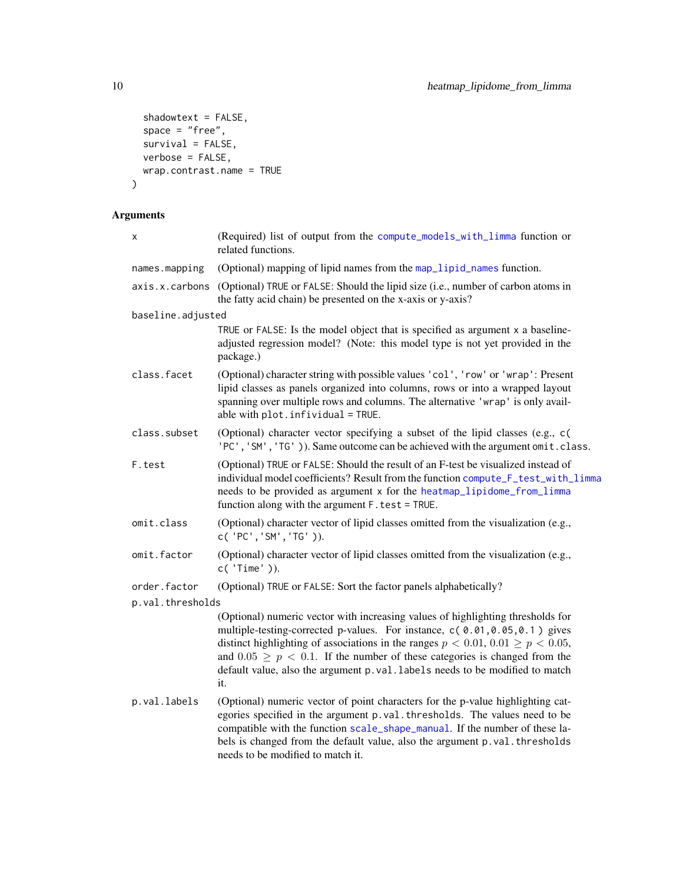```
shadowtext = FALSE,
 space = "free",survival = FALSE,verbose = FALSE,
 wrap.contrast.name = TRUE
\mathcal{L}
```
### Arguments

| X                 | (Required) list of output from the compute_models_with_limma function or<br>related functions.                                                                                                                                                                                                                                                                                                                                |
|-------------------|-------------------------------------------------------------------------------------------------------------------------------------------------------------------------------------------------------------------------------------------------------------------------------------------------------------------------------------------------------------------------------------------------------------------------------|
| names.mapping     | (Optional) mapping of lipid names from the map_lipid_names function.                                                                                                                                                                                                                                                                                                                                                          |
| axis.x.carbons    | (Optional) TRUE or FALSE: Should the lipid size (i.e., number of carbon atoms in<br>the fatty acid chain) be presented on the x-axis or y-axis?                                                                                                                                                                                                                                                                               |
| baseline.adjusted |                                                                                                                                                                                                                                                                                                                                                                                                                               |
|                   | TRUE or FALSE: Is the model object that is specified as argument x a baseline-<br>adjusted regression model? (Note: this model type is not yet provided in the<br>package.)                                                                                                                                                                                                                                                   |
| class.facet       | (Optional) character string with possible values 'col', 'row' or 'wrap': Present<br>lipid classes as panels organized into columns, rows or into a wrapped layout<br>spanning over multiple rows and columns. The alternative 'wrap' is only avail-<br>able with $plot.infividual = TRUE.$                                                                                                                                    |
| class.subset      | (Optional) character vector specifying a subset of the lipid classes (e.g., c)<br>'PC', 'SM', 'TG')). Same outcome can be achieved with the argument omit. class.                                                                                                                                                                                                                                                             |
| F.test            | (Optional) TRUE or FALSE: Should the result of an F-test be visualized instead of<br>individual model coefficients? Result from the function compute_F_test_with_limma<br>needs to be provided as argument x for the heatmap_lipidome_from_limma<br>function along with the argument F. test = TRUE.                                                                                                                          |
| omit.class        | (Optional) character vector of lipid classes omitted from the visualization (e.g.,<br>$C('PC', 'SM', 'TG'))$ .                                                                                                                                                                                                                                                                                                                |
| omit.factor       | (Optional) character vector of lipid classes omitted from the visualization (e.g.,<br>$c('Time')$ ).                                                                                                                                                                                                                                                                                                                          |
| order.factor      | (Optional) TRUE or FALSE: Sort the factor panels alphabetically?                                                                                                                                                                                                                                                                                                                                                              |
| p.val.thresholds  |                                                                                                                                                                                                                                                                                                                                                                                                                               |
|                   | (Optional) numeric vector with increasing values of highlighting thresholds for<br>multiple-testing-corrected p-values. For instance, c(0.01,0.05,0.1) gives<br>distinct highlighting of associations in the ranges $p < 0.01, 0.01 \ge p < 0.05$ ,<br>and $0.05 \ge p < 0.1$ . If the number of these categories is changed from the<br>default value, also the argument p. val. labels needs to be modified to match<br>it. |
| p.val.labels      | (Optional) numeric vector of point characters for the p-value highlighting cat-<br>egories specified in the argument p.val.thresholds. The values need to be<br>compatible with the function scale_shape_manual. If the number of these la-<br>bels is changed from the default value, also the argument p.val.thresholds<br>needs to be modified to match it.                                                                |

<span id="page-9-0"></span>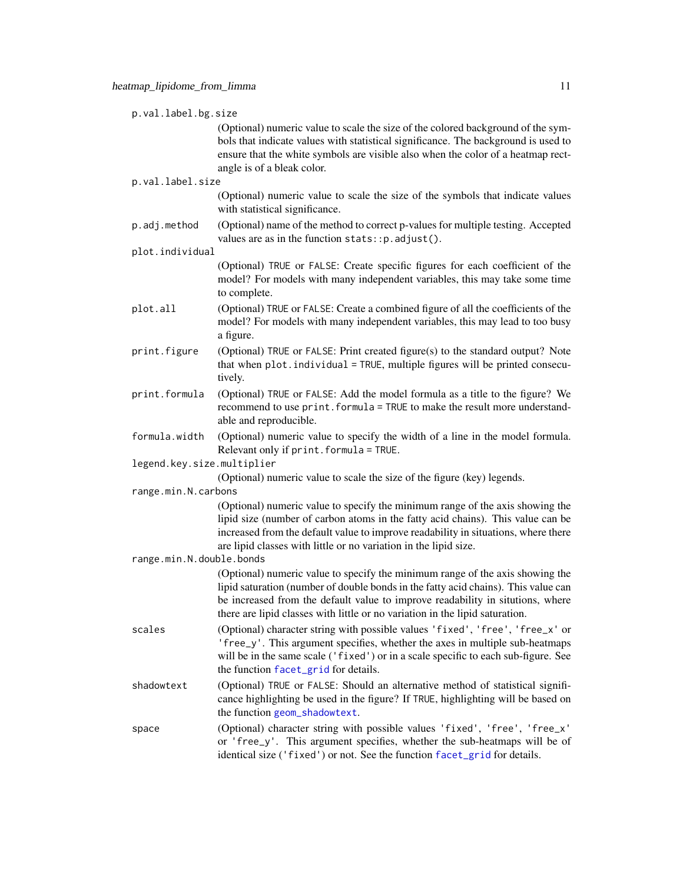<span id="page-10-0"></span>p.val.label.bg.size (Optional) numeric value to scale the size of the colored background of the symbols that indicate values with statistical significance. The background is used to ensure that the white symbols are visible also when the color of a heatmap rectangle is of a bleak color. p.val.label.size (Optional) numeric value to scale the size of the symbols that indicate values with statistical significance. p.adj.method (Optional) name of the method to correct p-values for multiple testing. Accepted values are as in the function stats::p.adjust(). plot.individual (Optional) TRUE or FALSE: Create specific figures for each coefficient of the model? For models with many independent variables, this may take some time to complete. plot.all (Optional) TRUE or FALSE: Create a combined figure of all the coefficients of the model? For models with many independent variables, this may lead to too busy a figure. print.figure (Optional) TRUE or FALSE: Print created figure(s) to the standard output? Note that when plot.individual = TRUE, multiple figures will be printed consecutively. print.formula (Optional) TRUE or FALSE: Add the model formula as a title to the figure? We recommend to use print. formula = TRUE to make the result more understandable and reproducible. formula.width (Optional) numeric value to specify the width of a line in the model formula. Relevant only if print.formula = TRUE. legend.key.size.multiplier (Optional) numeric value to scale the size of the figure (key) legends. range.min.N.carbons (Optional) numeric value to specify the minimum range of the axis showing the lipid size (number of carbon atoms in the fatty acid chains). This value can be increased from the default value to improve readability in situations, where there are lipid classes with little or no variation in the lipid size. range.min.N.double.bonds (Optional) numeric value to specify the minimum range of the axis showing the lipid saturation (number of double bonds in the fatty acid chains). This value can be increased from the default value to improve readability in situtions, where there are lipid classes with little or no variation in the lipid saturation. scales (Optional) character string with possible values 'fixed', 'free', 'free\_x' or 'free\_y'. This argument specifies, whether the axes in multiple sub-heatmaps will be in the same scale ('fixed') or in a scale specific to each sub-figure. See the function [facet\\_grid](#page-0-0) for details. shadowtext (Optional) TRUE or FALSE: Should an alternative method of statistical significance highlighting be used in the figure? If TRUE, highlighting will be based on the function [geom\\_shadowtext](#page-0-0). space (Optional) character string with possible values 'fixed', 'free', 'free\_x' or 'free\_y'. This argument specifies, whether the sub-heatmaps will be of identical size ('fixed') or not. See the function [facet\\_grid](#page-0-0) for details.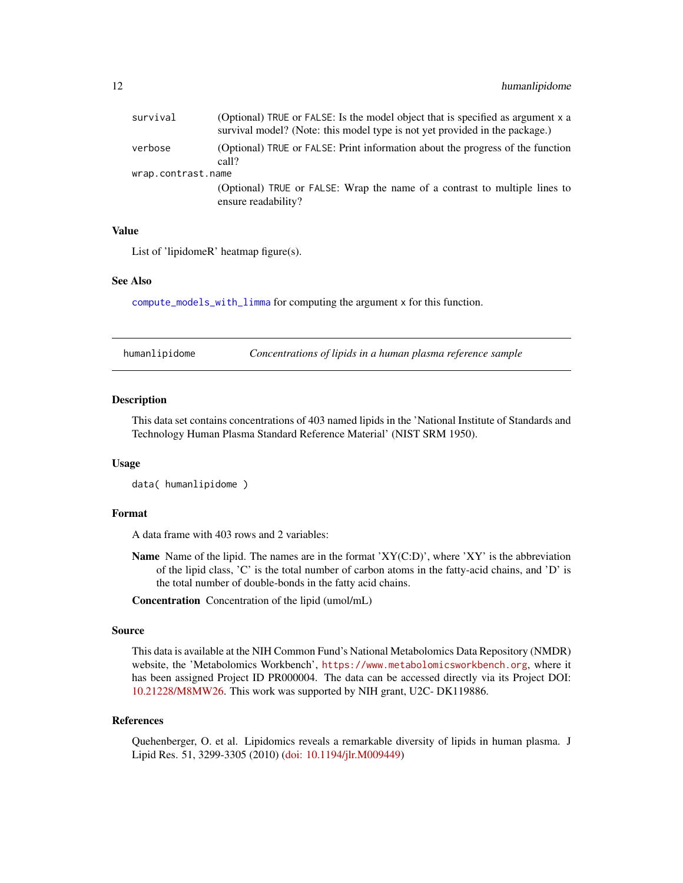<span id="page-11-0"></span>

| survival           | (Optional) TRUE or FALSE: Is the model object that is specified as argument x a<br>survival model? (Note: this model type is not yet provided in the package.) |
|--------------------|----------------------------------------------------------------------------------------------------------------------------------------------------------------|
| verbose            | (Optional) TRUE or FALSE: Print information about the progress of the function<br>call?                                                                        |
| wrap.contrast.name |                                                                                                                                                                |
|                    | (Optional) TRUE or FALSE: Wrap the name of a contrast to multiple lines to<br>ensure readability?                                                              |

### Value

List of 'lipidomeR' heatmap figure(s).

### See Also

[compute\\_models\\_with\\_limma](#page-4-1) for computing the argument x for this function.

| humanlipidome | Concentrations of lipids in a human plasma reference sample |  |
|---------------|-------------------------------------------------------------|--|
|---------------|-------------------------------------------------------------|--|

### **Description**

This data set contains concentrations of 403 named lipids in the 'National Institute of Standards and Technology Human Plasma Standard Reference Material' (NIST SRM 1950).

### Usage

data( humanlipidome )

### Format

A data frame with 403 rows and 2 variables:

**Name** Name of the lipid. The names are in the format ' $XY(C:D)$ ', where 'XY' is the abbreviation of the lipid class, 'C' is the total number of carbon atoms in the fatty-acid chains, and 'D' is the total number of double-bonds in the fatty acid chains.

Concentration Concentration of the lipid (umol/mL)

### Source

This data is available at the NIH Common Fund's National Metabolomics Data Repository (NMDR) website, the 'Metabolomics Workbench', <https://www.metabolomicsworkbench.org>, where it has been assigned Project ID PR000004. The data can be accessed directly via its Project DOI: [10.21228/M8MW26.](http://dx.doi.org/10.21228/M8MW26) This work was supported by NIH grant, U2C- DK119886.

#### References

Quehenberger, O. et al. Lipidomics reveals a remarkable diversity of lipids in human plasma. J Lipid Res. 51, 3299-3305 (2010) [\(doi: 10.1194/jlr.M009449\)](https://doi.org/10.1194/jlr.M009449)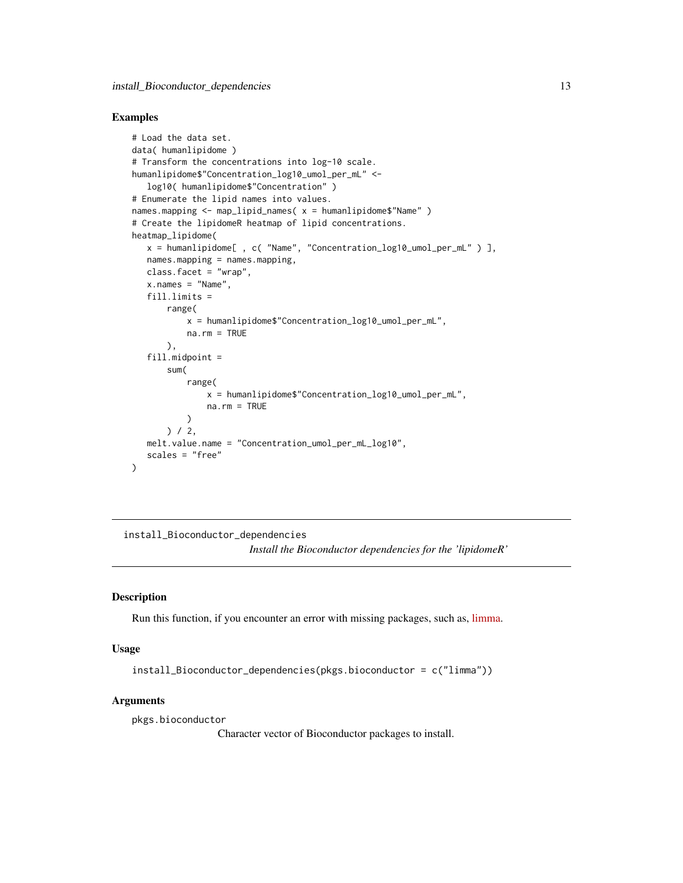### <span id="page-12-0"></span>Examples

```
# Load the data set.
data( humanlipidome )
# Transform the concentrations into log-10 scale.
humanlipidome$"Concentration_log10_umol_per_mL" <-
   log10( humanlipidome$"Concentration" )
# Enumerate the lipid names into values.
names.mapping <- map_lipid_names( x = humanlipidome$"Name" )
# Create the lipidomeR heatmap of lipid concentrations.
heatmap_lipidome(
   x = humanlipidome[ , c( "Name", "Concentration_log10_umol_per_mL" ) ],
   names.mapping = names.mapping,
   class.facet = "wrap",
   x.name' = "Name",fill.limits =
       range(
           x = humanlipidome$"Concentration_log10_umol_per_mL",
           na.rm = TRUE
      ),
   fill.midpoint =
       sum(
           range(
               x = humanlipidome$"Concentration_log10_umol_per_mL",
               na.rm = TRUE
           )
       ) / 2,
   melt.value.name = "Concentration_umol_per_mL_log10",
   scales = "free"
)
```
install\_Bioconductor\_dependencies *Install the Bioconductor dependencies for the 'lipidomeR'*

### Description

Run this function, if you encounter an error with missing packages, such as, [limma.](https://doi.org/doi:10.18129/B9.bioc.limma)

### Usage

```
install_Bioconductor_dependencies(pkgs.bioconductor = c("limma"))
```
### Arguments

pkgs.bioconductor

Character vector of Bioconductor packages to install.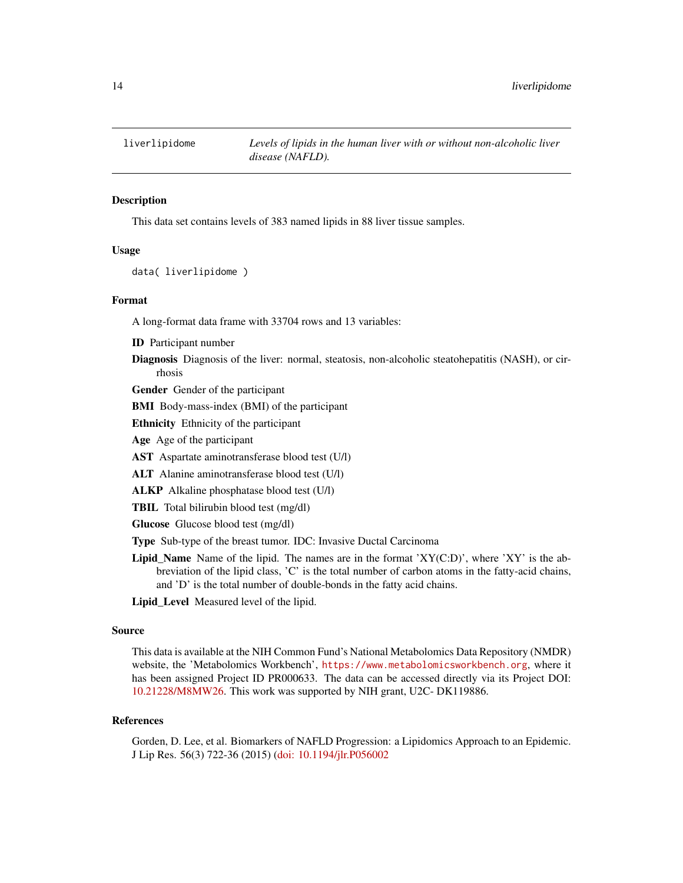<span id="page-13-0"></span>

### **Description**

This data set contains levels of 383 named lipids in 88 liver tissue samples.

### Usage

```
data( liverlipidome )
```
### Format

A long-format data frame with 33704 rows and 13 variables:

ID Participant number

Diagnosis Diagnosis of the liver: normal, steatosis, non-alcoholic steatohepatitis (NASH), or cirrhosis

Gender Gender of the participant

BMI Body-mass-index (BMI) of the participant

Ethnicity Ethnicity of the participant

Age Age of the participant

AST Aspartate aminotransferase blood test (U/l)

ALT Alanine aminotransferase blood test (U/l)

ALKP Alkaline phosphatase blood test (U/l)

TBIL Total bilirubin blood test (mg/dl)

Glucose Glucose blood test (mg/dl)

Type Sub-type of the breast tumor. IDC: Invasive Ductal Carcinoma

Lipid\_Name Name of the lipid. The names are in the format 'XY( $C:D$ )', where 'XY' is the abbreviation of the lipid class, 'C' is the total number of carbon atoms in the fatty-acid chains, and 'D' is the total number of double-bonds in the fatty acid chains.

Lipid\_Level Measured level of the lipid.

### Source

This data is available at the NIH Common Fund's National Metabolomics Data Repository (NMDR) website, the 'Metabolomics Workbench', <https://www.metabolomicsworkbench.org>, where it has been assigned Project ID PR000633. The data can be accessed directly via its Project DOI: [10.21228/M8MW26.](http://dx.doi.org/10.21228/M8MW26) This work was supported by NIH grant, U2C- DK119886.

#### References

Gorden, D. Lee, et al. Biomarkers of NAFLD Progression: a Lipidomics Approach to an Epidemic. J Lip Res. 56(3) 722-36 (2015) [\(doi: 10.1194/jlr.P056002](https://dx.doi.org/10.1194/jlr.P056002)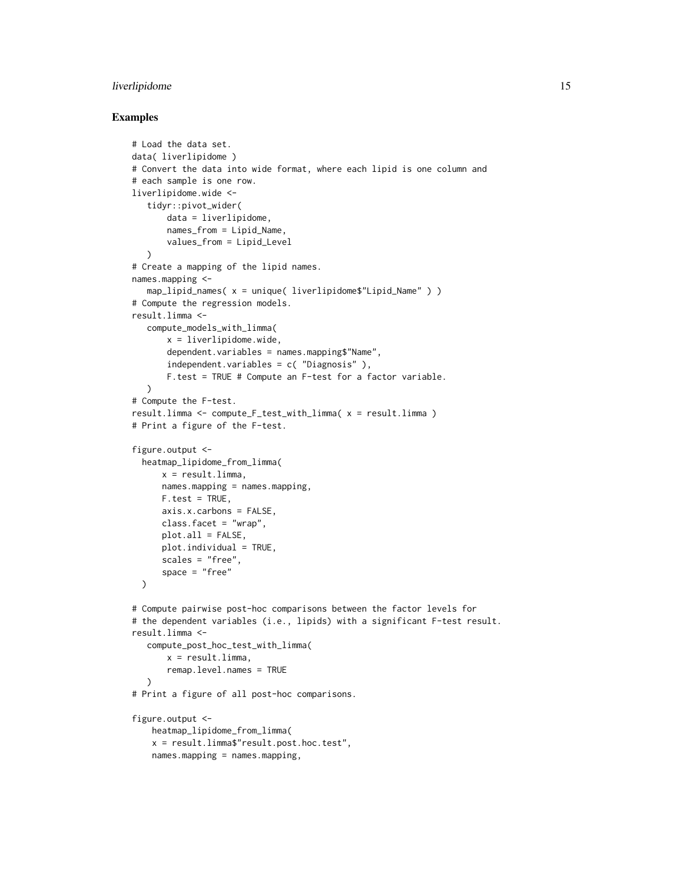### liverlipidome 15

### Examples

```
# Load the data set.
data( liverlipidome )
# Convert the data into wide format, where each lipid is one column and
# each sample is one row.
liverlipidome.wide <-
   tidyr::pivot_wider(
       data = liverlipidome,
       names_from = Lipid_Name,
       values_from = Lipid_Level
  \lambda# Create a mapping of the lipid names.
names.mapping <-
  map_lipid_names( x = unique( liverlipidome$"Lipid_Name" ) )
# Compute the regression models.
result.limma <-
  compute_models_with_limma(
      x = liverlipidome.wide,
       dependent.variables = names.mapping$"Name",
       independent.variables = c( "Diagnosis" ),
       F.test = TRUE # Compute an F-test for a factor variable.
  \lambda# Compute the F-test.
result.limma <- compute_F_test_with_limma( x = result.limma )
# Print a figure of the F-test.
figure.output <-
 heatmap_lipidome_from_limma(
      x = resultu.limma,
      names.mapping = names.mapping,
      F.test = TRUE,
      axis.x.carbons = FALSE,
      class.facet = "wrap",
      plot.all = FALSE,
      plot.individual = TRUE,
      scales = "free",
      space = "free"
 \lambda# Compute pairwise post-hoc comparisons between the factor levels for
# the dependent variables (i.e., lipids) with a significant F-test result.
result.limma <-
  compute_post_hoc_test_with_limma(
      x = resultu.limma,
       remap.level.names = TRUE
  \lambda# Print a figure of all post-hoc comparisons.
figure.output <-
   heatmap_lipidome_from_limma(
   x = result.limma$"result.post.hoc.test",
   names.mapping = names.mapping,
```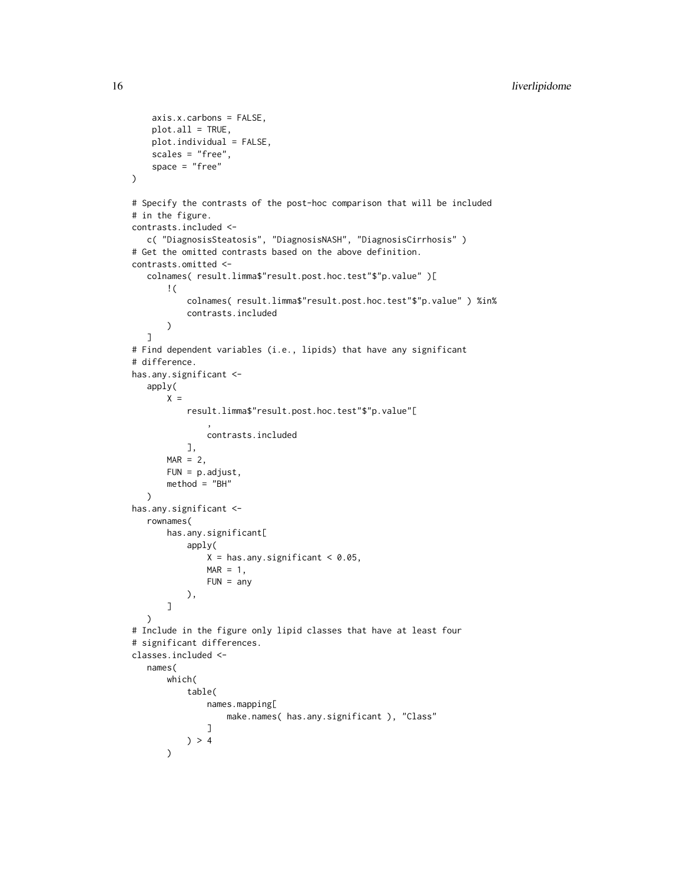```
axis.x.carbons = FALSE,
    plot.all = TRUE,
    plot.individual = FALSE,
    scales = "free",
    space = "free"
\lambda# Specify the contrasts of the post-hoc comparison that will be included
# in the figure.
contrasts.included <-
   c( "DiagnosisSteatosis", "DiagnosisNASH", "DiagnosisCirrhosis" )
# Get the omitted contrasts based on the above definition.
contrasts.omitted <-
   colnames( result.limma$"result.post.hoc.test"$"p.value" )[
       !(
           colnames( result.limma$"result.post.hoc.test"$"p.value" ) %in%
           contrasts.included
       \mathcal{L}]
# Find dependent variables (i.e., lipids) that have any significant
# difference.
has.any.significant <-
   apply(
       X =result.limma$"result.post.hoc.test"$"p.value"[
                ,
               contrasts.included
           ],
       MAR = 2,FUN = p.adjust,
       method = "BH"
   \mathcal{L}has.any.significant <-
   rownames(
       has.any.significant[
           apply(
               X = has.any.significant < 0.05,
               MAR = 1,FUN = any),
       ]
  )
# Include in the figure only lipid classes that have at least four
# significant differences.
classes.included <-
   names(
       which(
           table(
               names.mapping[
                   make.names( has.any.significant ), "Class"
               ]
           ) > 4\lambda
```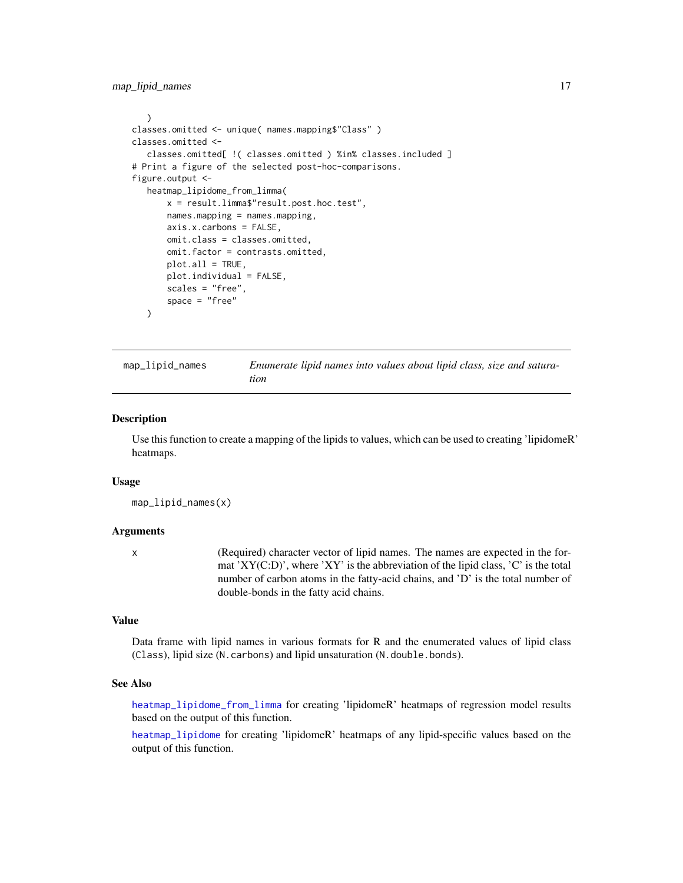<span id="page-16-0"></span>map\_lipid\_names 17

```
)
classes.omitted <- unique( names.mapping$"Class" )
classes.omitted <-
  classes.omitted[ !( classes.omitted ) %in% classes.included ]
# Print a figure of the selected post-hoc-comparisons.
figure.output <-
  heatmap_lipidome_from_limma(
       x = result.limma$"result.post.hoc.test",
       names.mapping = names.mapping,
       axis.x.carbons = FALSE,
       omit.class = classes.omitted,
       omit.factor = contrasts.omitted,
       plot.all = TRUE,
       plot.individual = FALSE,
       scales = "free",
       space = "free"
  )
```
<span id="page-16-1"></span>map\_lipid\_names *Enumerate lipid names into values about lipid class, size and saturation*

### **Description**

Use this function to create a mapping of the lipids to values, which can be used to creating 'lipidomeR' heatmaps.

#### Usage

map\_lipid\_names(x)

### Arguments

x (Required) character vector of lipid names. The names are expected in the format 'XY(C:D)', where 'XY' is the abbreviation of the lipid class, 'C' is the total number of carbon atoms in the fatty-acid chains, and 'D' is the total number of double-bonds in the fatty acid chains.

### Value

Data frame with lipid names in various formats for R and the enumerated values of lipid class (Class), lipid size (N.carbons) and lipid unsaturation (N.double.bonds).

### See Also

[heatmap\\_lipidome\\_from\\_limma](#page-8-1) for creating 'lipidomeR' heatmaps of regression model results based on the output of this function.

[heatmap\\_lipidome](#page-6-1) for creating 'lipidomeR' heatmaps of any lipid-specific values based on the output of this function.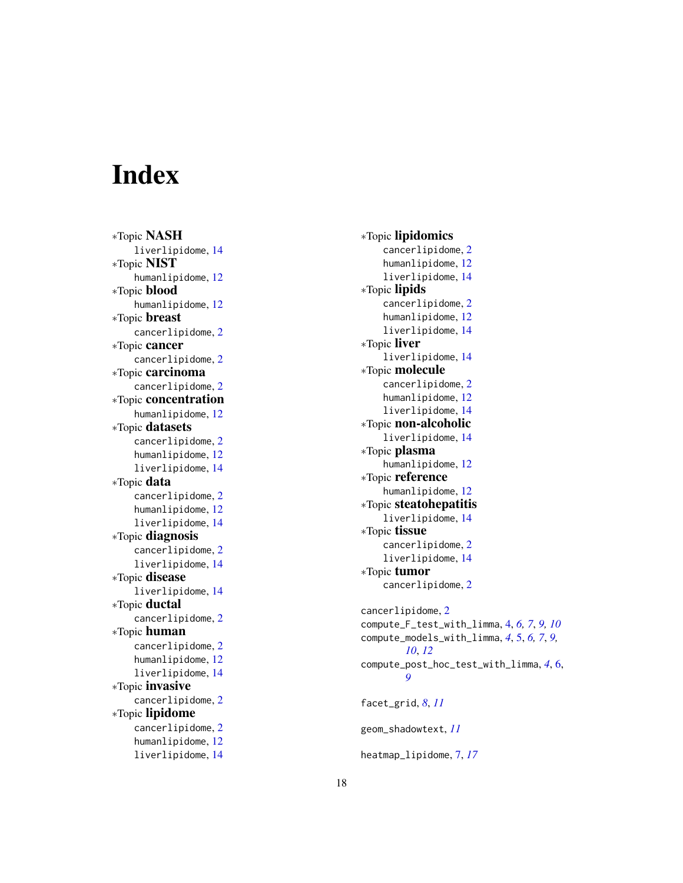# <span id="page-17-0"></span>Index

∗Topic NASH liverlipidome , [14](#page-13-0) ∗Topic NIST humanlipidome , [12](#page-11-0) ∗Topic blood humanlipidome , [12](#page-11-0) ∗Topic breast cancerlipidome , [2](#page-1-0) ∗Topic cancer cancerlipidome , [2](#page-1-0) ∗Topic carcinoma cancerlipidome , [2](#page-1-0) ∗Topic concentration humanlipidome , [12](#page-11-0) ∗Topic datasets cancerlipidome , [2](#page-1-0) humanlipidome , [12](#page-11-0) liverlipidome , [14](#page-13-0) ∗Topic data cancerlipidome , [2](#page-1-0) humanlipidome , [12](#page-11-0) liverlipidome , [14](#page-13-0) ∗Topic diagnosis cancerlipidome , [2](#page-1-0) liverlipidome , [14](#page-13-0) ∗Topic disease liverlipidome , [14](#page-13-0) ∗Topic ductal cancerlipidome , [2](#page-1-0) ∗Topic human cancerlipidome , [2](#page-1-0) humanlipidome , [12](#page-11-0) liverlipidome , [14](#page-13-0) ∗Topic invasive cancerlipidome , [2](#page-1-0) ∗Topic lipidome cancerlipidome , [2](#page-1-0) humanlipidome , [12](#page-11-0) liverlipidome , [14](#page-13-0)

∗Topic lipidomics <code>cancerlipidome</code>, $2$ humanlipidome , [12](#page-11-0) liverlipidome , [14](#page-13-0) ∗Topic lipids cancerlipidome , [2](#page-1-0) humanlipidome , [12](#page-11-0) liverlipidome , [14](#page-13-0) ∗Topic liver liverlipidome , [14](#page-13-0) ∗Topic molecule <code>cancerlipidome</code>, $2$ humanlipidome , [12](#page-11-0) liverlipidome , [14](#page-13-0) ∗Topic non-alcoholic liverlipidome , [14](#page-13-0) ∗Topic plasma humanlipidome , [12](#page-11-0) ∗Topic reference humanlipidome , [12](#page-11-0) ∗Topic steatohepatitis liverlipidome , [14](#page-13-0) ∗Topic tissue cancerlipidome , [2](#page-1-0) liverlipidome , [14](#page-13-0) ∗Topic tumor cancerlipidome , [2](#page-1-0)  $\,$ can $\,$ cer $\,$ lipidome, $2$ compute\_F\_test\_with\_limma , [4](#page-3-0) , *[6,](#page-5-0) [7](#page-6-0)* , *[9](#page-8-0) , [10](#page-9-0)* compute\_models\_with\_limma , *[4](#page-3-0)* , [5](#page-4-0) , *[6,](#page-5-0) [7](#page-6-0)* , *[9](#page-8-0) , [10](#page-9-0)* , *[12](#page-11-0)* compute\_post\_hoc\_test\_with\_limma , *[4](#page-3-0)* , [6](#page-5-0) , *[9](#page-8-0)* facet\_grid , *[8](#page-7-0)* , *[11](#page-10-0)* geom\_shadowtext , *[11](#page-10-0)* heatmap\_lipidome , [7](#page-6-0) , *[17](#page-16-0)*